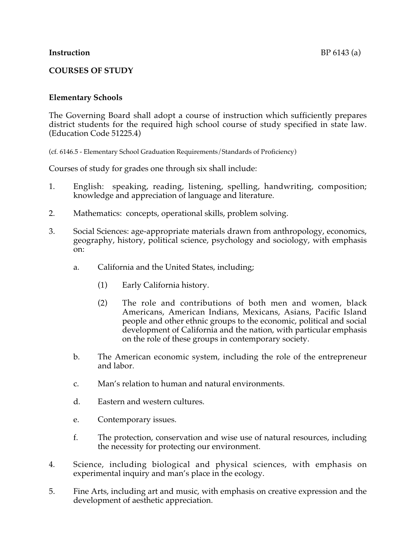# **COURSES OF STUDY**

### **Elementary Schools**

The Governing Board shall adopt a course of instruction which sufficiently prepares district students for the required high school course of study specified in state law. (Education Code 51225.4)

(cf. 6146.5 - Elementary School Graduation Requirements/Standards of Proficiency)

Courses of study for grades one through six shall include:

- 1. English: speaking, reading, listening, spelling, handwriting, composition; knowledge and appreciation of language and literature.
- 2. Mathematics: concepts, operational skills, problem solving.
- 3. Social Sciences: age-appropriate materials drawn from anthropology, economics, geography, history, political science, psychology and sociology, with emphasis on:
	- a. California and the United States, including;
		- (1) Early California history.
		- (2) The role and contributions of both men and women, black Americans, American Indians, Mexicans, Asians, Pacific Island people and other ethnic groups to the economic, political and social development of California and the nation, with particular emphasis on the role of these groups in contemporary society.
	- b. The American economic system, including the role of the entrepreneur and labor.
	- c. Man's relation to human and natural environments.
	- d. Eastern and western cultures.
	- e. Contemporary issues.
	- f. The protection, conservation and wise use of natural resources, including the necessity for protecting our environment.
- 4. Science, including biological and physical sciences, with emphasis on experimental inquiry and man's place in the ecology.
- 5. Fine Arts, including art and music, with emphasis on creative expression and the development of aesthetic appreciation.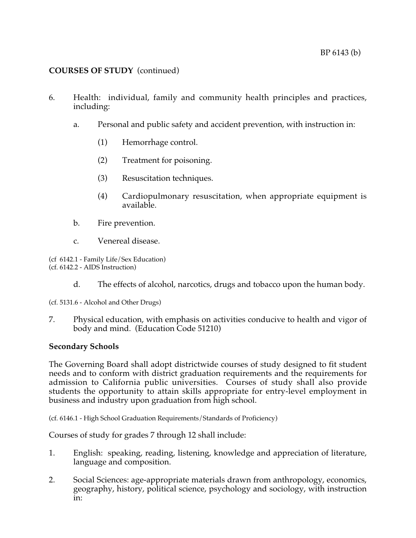- 6. Health: individual, family and community health principles and practices, including:
	- a. Personal and public safety and accident prevention, with instruction in:
		- (1) Hemorrhage control.
		- (2) Treatment for poisoning.
		- (3) Resuscitation techniques.
		- (4) Cardiopulmonary resuscitation, when appropriate equipment is available.
	- b. Fire prevention.
	- c. Venereal disease.

(cf 6142.1 - Family Life/Sex Education) (cf. 6142.2 - AIDS Instruction)

- d. The effects of alcohol, narcotics, drugs and tobacco upon the human body.
- (cf. 5131.6 Alcohol and Other Drugs)
- 7. Physical education, with emphasis on activities conducive to health and vigor of body and mind. (Education Code 51210)

### **Secondary Schools**

The Governing Board shall adopt districtwide courses of study designed to fit student needs and to conform with district graduation requirements and the requirements for admission to California public universities. Courses of study shall also provide students the opportunity to attain skills appropriate for entry-level employment in business and industry upon graduation from high school.

(cf. 6146.1 - High School Graduation Requirements/Standards of Proficiency)

Courses of study for grades 7 through 12 shall include:

- 1. English: speaking, reading, listening, knowledge and appreciation of literature, language and composition.
- 2. Social Sciences: age-appropriate materials drawn from anthropology, economics, geography, history, political science, psychology and sociology, with instruction in: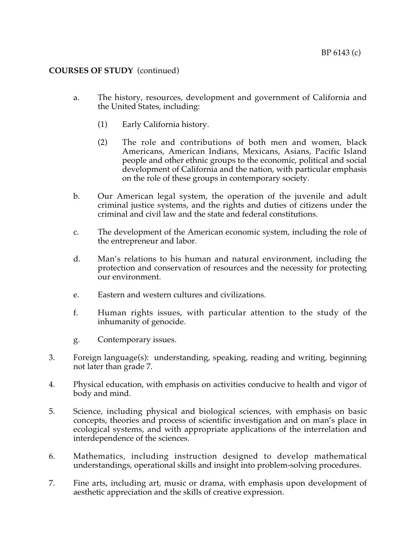- a. The history, resources, development and government of California and the United States, including:
	- (1) Early California history.
	- (2) The role and contributions of both men and women, black Americans, American Indians, Mexicans, Asians, Pacific Island people and other ethnic groups to the economic, political and social development of California and the nation, with particular emphasis on the role of these groups in contemporary society.
- b. Our American legal system, the operation of the juvenile and adult criminal justice systems, and the rights and duties of citizens under the criminal and civil law and the state and federal constitutions.
- c. The development of the American economic system, including the role of the entrepreneur and labor.
- d. Man's relations to his human and natural environment, including the protection and conservation of resources and the necessity for protecting our environment.
- e. Eastern and western cultures and civilizations.
- f. Human rights issues, with particular attention to the study of the inhumanity of genocide.
- g. Contemporary issues.
- 3. Foreign language(s): understanding, speaking, reading and writing, beginning not later than grade 7.
- 4. Physical education, with emphasis on activities conducive to health and vigor of body and mind.
- 5. Science, including physical and biological sciences, with emphasis on basic concepts, theories and process of scientific investigation and on man's place in ecological systems, and with appropriate applications of the interrelation and interdependence of the sciences.
- 6. Mathematics, including instruction designed to develop mathematical understandings, operational skills and insight into problem-solving procedures.
- 7. Fine arts, including art, music or drama, with emphasis upon development of aesthetic appreciation and the skills of creative expression.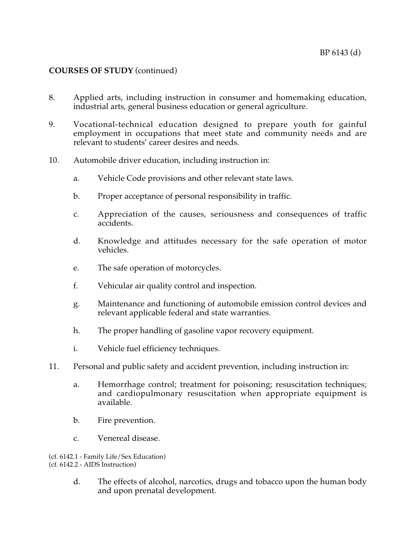- 8. Applied arts, including instruction in consumer and homemaking education, industrial arts, general business education or general agriculture.
- 9. Vocational-technical education designed to prepare youth for gainful employment in occupations that meet state and community needs and are relevant to students' career desires and needs.
- 10. Automobile driver education, including instruction in:
	- a. Vehicle Code provisions and other relevant state laws.
	- b. Proper acceptance of personal responsibility in traffic.
	- c. Appreciation of the causes, seriousness and consequences of traffic accidents.
	- d. Knowledge and attitudes necessary for the safe operation of motor vehicles.
	- e. The safe operation of motorcycles.
	- f. Vehicular air quality control and inspection.
	- g. Maintenance and functioning of automobile emission control devices and relevant applicable federal and state warranties.
	- h. The proper handling of gasoline vapor recovery equipment.
	- i. Vehicle fuel efficiency techniques.
- 11. Personal and public safety and accident prevention, including instruction in:
	- a. Hemorrhage control; treatment for poisoning; resuscitation techniques; and cardiopulmonary resuscitation when appropriate equipment is available.
	- b. Fire prevention.
	- c. Venereal disease.

(cf. 6142.1 - Family Life/Sex Education) (cf. 6142.2 - AIDS Instruction)

> d. The effects of alcohol, narcotics, drugs and tobacco upon the human body and upon prenatal development.